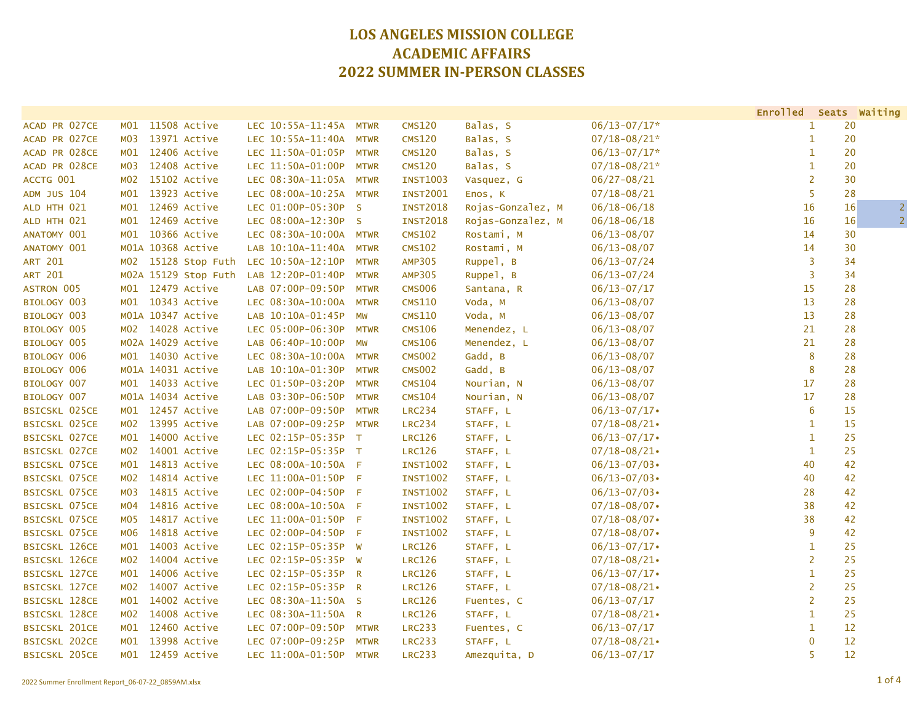|                      |                  |                      |                     |                |                 |                   |                  | <b>Enrolled</b> |                    | Seats Waiting  |
|----------------------|------------------|----------------------|---------------------|----------------|-----------------|-------------------|------------------|-----------------|--------------------|----------------|
| ACAD PR 027CE        | MO1              | 11508 Active         | LEC 10:55A-11:45A   | <b>MTWR</b>    | <b>CMS120</b>   | Balas, S          | $06/13 - 07/17*$ |                 | $\mathbf{1}$<br>20 |                |
| ACAD PR 027CE        | M03              | 13971 Active         | LEC 10:55A-11:40A   | <b>MTWR</b>    | <b>CMS120</b>   | Balas, S          | $07/18 - 08/21*$ | $\mathbf{1}$    | 20                 |                |
| ACAD PR 028CE        | MO1              | 12406 Active         | LEC 11:50A-01:05P   | <b>MTWR</b>    | <b>CMS120</b>   | Balas, S          | $06/13 - 07/17*$ | $\mathbf{1}$    | 20                 |                |
| ACAD PR 028CE        | <b>MO3</b>       | 12408 Active         | LEC 11:50A-01:00P   | <b>MTWR</b>    | <b>CMS120</b>   | Balas, S          | $07/18 - 08/21*$ |                 | 20<br>$\mathbf{1}$ |                |
| ACCTG 001            | M02              | 15102 Active         | LEC 08:30A-11:05A   | <b>MTWR</b>    | <b>INST1003</b> | Vasquez, G        | $06/27 - 08/21$  | $\overline{2}$  | 30                 |                |
| ADM JUS 104          | MO1              | 13923 Active         | LEC 08:00A-10:25A   | <b>MTWR</b>    | <b>INST2001</b> | Enos, K           | $07/18 - 08/21$  | -5              | 28                 |                |
| ALD HTH 021          | MO1              | 12469 Active         | LEC 01:00P-05:30P   | $\mathsf{S}$   | <b>INST2018</b> | Rojas-Gonzalez, M | $06/18 - 06/18$  | 16              | 16                 | $\overline{2}$ |
| ALD HTH 021          | MO1              | 12469 Active         | LEC 08:00A-12:30P S |                | <b>INST2018</b> | Rojas-Gonzalez, M | $06/18 - 06/18$  | 16              | 16                 | $\overline{2}$ |
| ANATOMY 001          | MO1              | 10366 Active         | LEC 08:30A-10:00A   | <b>MTWR</b>    | <b>CMS102</b>   | Rostami, M        | $06/13 - 08/07$  | 14              | 30                 |                |
| ANATOMY 001          |                  | M01A 10368 Active    | LAB 10:10A-11:40A   | <b>MTWR</b>    | <b>CMS102</b>   | Rostami, M        | $06/13 - 08/07$  | 14              | 30                 |                |
| <b>ART 201</b>       | MO2              | 15128 Stop Futh      | LEC 10:50A-12:10P   | <b>MTWR</b>    | <b>AMP305</b>   | Ruppel, B         | $06/13 - 07/24$  | $\overline{3}$  | 34                 |                |
| <b>ART 201</b>       |                  | MO2A 15129 Stop Futh | LAB 12:20P-01:40P   | <b>MTWR</b>    | <b>AMP305</b>   | Ruppel, B         | $06/13 - 07/24$  | $\overline{3}$  | 34                 |                |
| <b>ASTRON 005</b>    | M <sub>01</sub>  | 12479 Active         | LAB 07:00P-09:50P   | <b>MTWR</b>    | <b>CMS006</b>   | Santana, R        | $06/13 - 07/17$  | 15              | 28                 |                |
| BIOLOGY 003          | M <sub>01</sub>  | 10343 Active         | LEC 08:30A-10:00A   | <b>MTWR</b>    | <b>CMS110</b>   | Voda, M           | $06/13 - 08/07$  | 13              | 28                 |                |
| BIOLOGY 003          |                  | M01A 10347 Active    | LAB 10:10A-01:45P   | <b>MW</b>      | <b>CMS110</b>   | Voda, M           | $06/13 - 08/07$  | 13              | 28                 |                |
| BIOLOGY 005          | MO <sub>2</sub>  | 14028 Active         | LEC 05:00P-06:30P   | <b>MTWR</b>    | <b>CMS106</b>   | Menendez, L       | $06/13 - 08/07$  | 21              | 28                 |                |
| BIOLOGY 005          |                  | M02A 14029 Active    | LAB 06:40P-10:00P   | <b>MW</b>      | <b>CMS106</b>   | Menendez, L       | $06/13 - 08/07$  | 21              | 28                 |                |
| BIOLOGY 006          | MO1              | 14030 Active         | LEC 08:30A-10:00A   | <b>MTWR</b>    | <b>CMS002</b>   | Gadd, B           | $06/13 - 08/07$  | 8               | 28                 |                |
| BIOLOGY 006          |                  | M01A 14031 Active    | LAB 10:10A-01:30P   | <b>MTWR</b>    | <b>CMS002</b>   | Gadd, B           | $06/13 - 08/07$  | 8               | 28                 |                |
| BIOLOGY 007          |                  | M01 14033 Active     | LEC 01:50P-03:20P   | <b>MTWR</b>    | <b>CMS104</b>   | Nourian, N        | $06/13 - 08/07$  | 17              | 28                 |                |
| BIOLOGY 007          |                  | M01A 14034 Active    | LAB 03:30P-06:50P   | <b>MTWR</b>    | <b>CMS104</b>   | Nourian, N        | $06/13 - 08/07$  | 17              | 28                 |                |
| <b>BSICSKL 025CE</b> | MO1              | 12457 Active         | LAB 07:00P-09:50P   | <b>MTWR</b>    | <b>LRC234</b>   | STAFF, L          | $06/13 - 07/17$  | 6               | 15                 |                |
| <b>BSICSKL 025CE</b> | M02              | 13995 Active         | LAB 07:00P-09:25P   | <b>MTWR</b>    | <b>LRC234</b>   | STAFF, L          | $07/18 - 08/21$  | $\mathbf{1}$    | 15                 |                |
| <b>BSICSKL 027CE</b> | MO1              | 14000 Active         | LEC 02:15P-05:35P T |                | <b>LRC126</b>   | STAFF, L          | $06/13 - 07/17$  | $\mathbf{1}$    | 25                 |                |
| <b>BSICSKL 027CE</b> | MO2              | 14001 Active         | LEC 02:15P-05:35P T |                | <b>LRC126</b>   | STAFF, L          | $07/18 - 08/21$  | $\mathbf{1}$    | 25                 |                |
| <b>BSICSKL 075CE</b> | MO1              | 14813 Active         | LEC 08:00A-10:50A   | -F             | <b>INST1002</b> | STAFF, L          | $06/13 - 07/03$  | 40              | 42                 |                |
| <b>BSICSKL 075CE</b> | M02              | 14814 Active         | LEC 11:00A-01:50P   | -F             | <b>INST1002</b> | STAFF, L          | $06/13 - 07/03$  | 40              | 42                 |                |
| <b>BSICSKL 075CE</b> | M <sub>0</sub> 3 | 14815 Active         | LEC 02:00P-04:50P   | -F             | <b>INST1002</b> | STAFF, L          | $06/13 - 07/03$  | 28              | 42                 |                |
| <b>BSICSKL 075CE</b> | M04              | 14816 Active         | LEC 08:00A-10:50A   | - F            | <b>INST1002</b> | STAFF, L          | $07/18 - 08/07$  | 38              | 42                 |                |
| <b>BSICSKL 075CE</b> | MO5              | 14817 Active         | LEC 11:00A-01:50P F |                | <b>INST1002</b> | STAFF, L          | $07/18 - 08/07$  | 38              | 42                 |                |
| BSICSKL 075CE        | м06              | 14818 Active         | LEC 02:00P-04:50P   | - F            | <b>INST1002</b> | STAFF, L          | $07/18 - 08/07$  | 9               | 42                 |                |
| <b>BSICSKL 126CE</b> | MO1              | 14003 Active         | LEC 02:15P-05:35P   | <b>W</b>       | <b>LRC126</b>   | STAFF, L          | $06/13 - 07/17$  |                 | 25<br>$\mathbf{1}$ |                |
| <b>BSICSKL 126CE</b> | MO2              | 14004 Active         | LEC 02:15P-05:35P   | <b>W</b>       | <b>LRC126</b>   | STAFF, L          | $07/18 - 08/21$  | $\overline{2}$  | 25                 |                |
| <b>BSICSKL 127CE</b> | MO1              | 14006 Active         | LEC 02:15P-05:35P   | $\overline{R}$ | <b>LRC126</b>   | STAFF, L          | $06/13 - 07/17$  | $\mathbf{1}$    | 25                 |                |
| <b>BSICSKL 127CE</b> | MO2              | 14007 Active         | LEC 02:15P-05:35P R |                | <b>LRC126</b>   | STAFF, L          | $07/18 - 08/21$  | $\overline{2}$  | 25                 |                |
| <b>BSICSKL 128CE</b> | MO1              | 14002 Active         | LEC 08:30A-11:50A S |                | <b>LRC126</b>   | Fuentes, C        | $06/13 - 07/17$  | 2               | 25                 |                |
| <b>BSICSKL 128CE</b> | MO2              | 14008 Active         | LEC 08:30A-11:50A   | R              | <b>LRC126</b>   | STAFF, L          | $07/18 - 08/21$  |                 | 25<br>$\mathbf{1}$ |                |
| <b>BSICSKL 201CE</b> | MO1              | 12460 Active         | LEC 07:00P-09:50P   | <b>MTWR</b>    | <b>LRC233</b>   | Fuentes, C        | $06/13 - 07/17$  |                 | $\mathbf{1}$<br>12 |                |
| BSICSKL 202CE        | MO1              | 13998 Active         | LEC 07:00P-09:25P   | <b>MTWR</b>    | <b>LRC233</b>   | STAFF, L          | $07/18 - 08/21$  | $\mathbf 0$     | 12                 |                |
| <b>BSICSKL 205CE</b> |                  | M01 12459 Active     | LEC 11:00A-01:50P   | <b>MTWR</b>    | <b>LRC233</b>   | Amezquita, D      | $06/13 - 07/17$  | 5               | 12                 |                |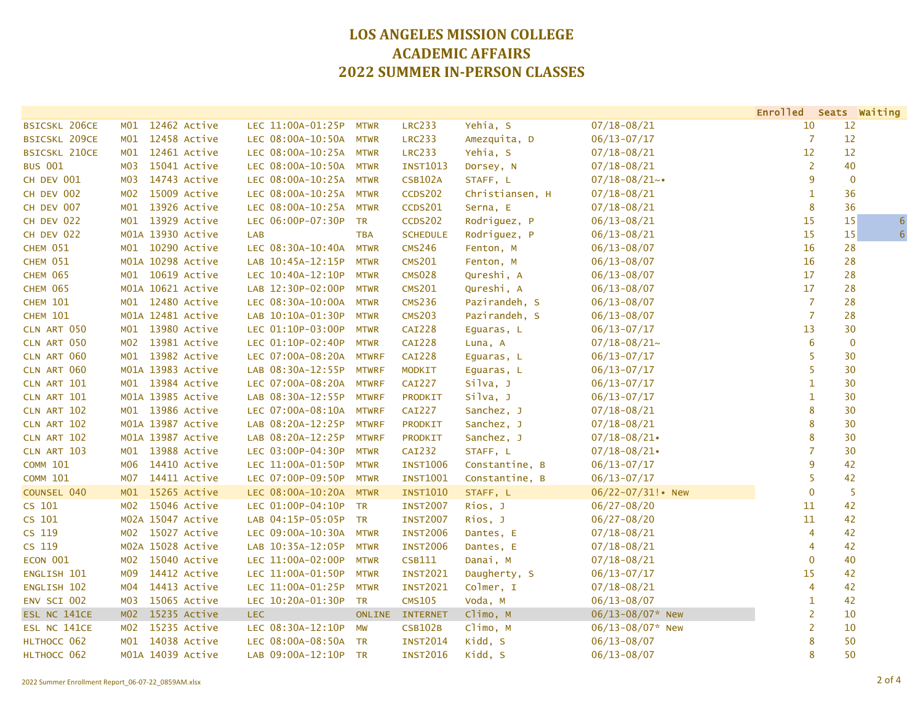|                      |     |                   |                         |               |                 |                 |                    | <b>Enrolled</b> |    | Seats Waiting |
|----------------------|-----|-------------------|-------------------------|---------------|-----------------|-----------------|--------------------|-----------------|----|---------------|
| <b>BSICSKL 206CE</b> | MO1 | 12462 Active      | LEC 11:00A-01:25P       | <b>MTWR</b>   | <b>LRC233</b>   | Yehia, S        | $07/18 - 08/21$    | 10              | 12 |               |
| <b>BSICSKL 209CE</b> | MO1 | 12458 Active      | LEC 08:00A-10:50A       | <b>MTWR</b>   | <b>LRC233</b>   | Amezquita, D    | $06/13 - 07/17$    | $\overline{7}$  | 12 |               |
| <b>BSICSKL 210CE</b> | MO1 | 12461 Active      | LEC 08:00A-10:25A MTWR  |               | <b>LRC233</b>   | Yehia, S        | $07/18 - 08/21$    | 12              |    | 12            |
| <b>BUS 001</b>       | M03 | 15041 Active      | LEC 08:00A-10:50A MTWR  |               | <b>INST1013</b> | Dorsey, N       | $07/18 - 08/21$    | $\overline{2}$  |    | 40            |
| CH DEV 001           | M03 | 14743 Active      | LEC 08:00A-10:25A       | <b>MTWR</b>   | <b>CSB102A</b>  | STAFF, L        | $07/18 - 08/21$ ~• | 9               |    | $\mathbf 0$   |
| CH DEV 002           | M02 | 15009 Active      | LEC 08:00A-10:25A       | <b>MTWR</b>   | <b>CCDS202</b>  | Christiansen, H | $07/18 - 08/21$    | $\mathbf{1}$    |    | 36            |
| CH DEV 007           | M01 | 13926 Active      | LEC 08:00A-10:25A MTWR  |               | <b>CCDS201</b>  | Serna, E        | $07/18 - 08/21$    | 8               |    | 36            |
| CH DEV 022           | MO1 | 13929 Active      | LEC 06:00P-07:30P       | <b>TR</b>     | <b>CCDS202</b>  | Rodriguez, P    | $06/13 - 08/21$    | 15              | 15 | 6             |
| CH DEV 022           |     | M01A 13930 Active | LAB                     | <b>TBA</b>    | <b>SCHEDULE</b> | Rodriguez, P    | $06/13 - 08/21$    | 15              | 15 | 6             |
| <b>CHEM 051</b>      | MO1 | 10290 Active      | LEC 08:30A-10:40A       | <b>MTWR</b>   | CMS246          | Fenton, M       | $06/13 - 08/07$    | 16              |    | 28            |
| <b>CHEM 051</b>      |     | M01A 10298 Active | LAB 10:45A-12:15P       | <b>MTWR</b>   | <b>CMS201</b>   | Fenton, M       | $06/13 - 08/07$    | 16              |    | 28            |
| <b>CHEM 065</b>      | MO1 | 10619 Active      | LEC 10:40A-12:10P       | <b>MTWR</b>   | <b>CMS028</b>   | Qureshi, A      | $06/13 - 08/07$    | 17              |    | 28            |
| <b>CHEM 065</b>      |     | M01A 10621 Active | LAB 12:30P-02:00P       | <b>MTWR</b>   | <b>CMS201</b>   | Qureshi, A      | $06/13 - 08/07$    | 17              |    | 28            |
| <b>CHEM 101</b>      | MO1 | 12480 Active      | LEC 08:30A-10:00A MTWR  |               | <b>CMS236</b>   | Pazirandeh, S   | $06/13 - 08/07$    | $\overline{7}$  |    | 28            |
| <b>CHEM 101</b>      |     | M01A 12481 Active | LAB 10:10A-01:30P       | <b>MTWR</b>   | <b>CMS203</b>   | Pazirandeh, S   | $06/13 - 08/07$    | $\overline{7}$  |    | 28            |
| CLN ART 050          | MO1 | 13980 Active      | LEC 01:10P-03:00P       | <b>MTWR</b>   | <b>CAI228</b>   | Equaras, L      | $06/13 - 07/17$    | 13              |    | 30            |
| CLN ART 050          | M02 | 13981 Active      | LEC 01:10P-02:40P       | <b>MTWR</b>   | <b>CAI228</b>   | Luna, A         | $07/18 - 08/21$ ~  | 6               |    | $\mathbf 0$   |
| CLN ART 060          | MO1 | 13982 Active      | LEC 07:00A-08:20A MTWRF |               | <b>CAI228</b>   | Equaras, L      | $06/13 - 07/17$    | 5               |    | 30            |
| CLN ART 060          |     | M01A 13983 Active | LAB 08:30A-12:55P       | <b>MTWRF</b>  | <b>MODKIT</b>   | Equaras, L      | $06/13 - 07/17$    | 5               |    | 30            |
| CLN ART 101          |     | M01 13984 Active  | LEC 07:00A-08:20A MTWRF |               | <b>CAI227</b>   | silva, J        | $06/13 - 07/17$    | $\mathbf{1}$    |    | 30            |
| CLN ART 101          |     | M01A 13985 Active | LAB 08:30A-12:55P MTWRF |               | <b>PRODKIT</b>  | silva, J        | $06/13 - 07/17$    | $\mathbf{1}$    |    | 30            |
| CLN ART 102          |     | M01 13986 Active  | LEC 07:00A-08:10A       | <b>MTWRF</b>  | <b>CAI227</b>   | Sanchez, J      | $07/18 - 08/21$    | 8               |    | 30            |
| CLN ART 102          |     | M01A 13987 Active | LAB 08:20A-12:25P MTWRF |               | PRODKIT         | Sanchez, J      | $07/18 - 08/21$    | 8               |    | 30            |
| CLN ART 102          |     | M01A 13987 Active | LAB 08:20A-12:25P       | <b>MTWRF</b>  | <b>PRODKIT</b>  | Sanchez, J      | $07/18 - 08/21$    | 8               |    | 30            |
| CLN ART 103          | MO1 | 13988 Active      | LEC 03:00P-04:30P       | <b>MTWR</b>   | <b>CAI232</b>   | STAFF, L        | $07/18 - 08/21$    | $\overline{7}$  |    | 30            |
| <b>COMM 101</b>      | м06 | 14410 Active      | LEC 11:00A-01:50P       | <b>MTWR</b>   | <b>INST1006</b> | Constantine, B  | $06/13 - 07/17$    | 9               |    | 42            |
| <b>COMM 101</b>      | M07 | 14411 Active      | LEC 07:00P-09:50P       | <b>MTWR</b>   | <b>INST1001</b> | Constantine, B  | $06/13 - 07/17$    | 5               |    | 42            |
| COUNSEL 040          | M01 | 15265 Active      | LEC 08:00A-10:20A MTWR  |               | <b>INST1010</b> | STAFF, L        | 06/22-07/31! • New | $\mathbf{0}$    |    | 5             |
| CS 101               | MO2 | 15046 Active      | LEC 01:00P-04:10P       | <b>TR</b>     | <b>INST2007</b> | Rios, J         | $06/27 - 08/20$    | 11              |    | 42            |
| CS 101               |     | M02A 15047 Active | LAB 04:15P-05:05P       | <b>TR</b>     | <b>INST2007</b> | Rios, J         | $06/27 - 08/20$    | 11              | 42 |               |
| CS 119               | MO2 | 15027 Active      | LEC 09:00A-10:30A MTWR  |               | <b>INST2006</b> | Dantes, E       | $07/18 - 08/21$    | $\overline{4}$  | 42 |               |
| CS 119               |     | M02A 15028 Active | LAB 10:35A-12:05P       | <b>MTWR</b>   | <b>INST2006</b> | Dantes, E       | $07/18 - 08/21$    | 4               |    | 42            |
| ECON 001             | MO2 | 15040 Active      | LEC 11:00A-02:00P       | <b>MTWR</b>   | CSB111          | Danai, M        | $07/18 - 08/21$    | $\mathbf 0$     |    | 40            |
| ENGLISH 101          | MO9 | 14412 Active      | LEC 11:00A-01:50P       | <b>MTWR</b>   | <b>INST2021</b> | Daugherty, S    | $06/13 - 07/17$    | 15              | 42 |               |
| <b>ENGLISH 102</b>   | MO4 | 14413 Active      | LEC 11:00A-01:25P       | <b>MTWR</b>   | <b>INST2021</b> | Colmer, I       | $07/18 - 08/21$    | $\overline{4}$  | 42 |               |
| ENV SCI 002          | MO3 | 15065 Active      | LEC 10:20A-01:30P       | <b>TR</b>     | <b>CMS105</b>   | Voda, M         | $06/13 - 08/07$    | $\mathbf{1}$    | 42 |               |
| ESL NC 141CE         | MO2 | 15235 Active      | <b>LEC</b>              | <b>ONLINE</b> | <b>INTERNET</b> | Climo, M        | 06/13-08/07* New   | 2               |    | 10            |
| ESL NC 141CE         | M02 | 15235 Active      | LEC 08:30A-12:10P       | <b>MW</b>     | <b>CSB102B</b>  | Climo, M        | 06/13-08/07* New   | $\overline{2}$  |    | 10            |
| HLTHOCC 062          | MO1 | 14038 Active      | LEC 08:00A-08:50A       | <b>TR</b>     | <b>INST2014</b> | Kidd, S         | $06/13 - 08/07$    | 8               |    | 50            |
| HLTHOCC 062          |     | M01A 14039 Active | LAB 09:00A-12:10P       | <b>TR</b>     | <b>INST2016</b> | Kidd, S         | $06/13 - 08/07$    | 8               |    | 50            |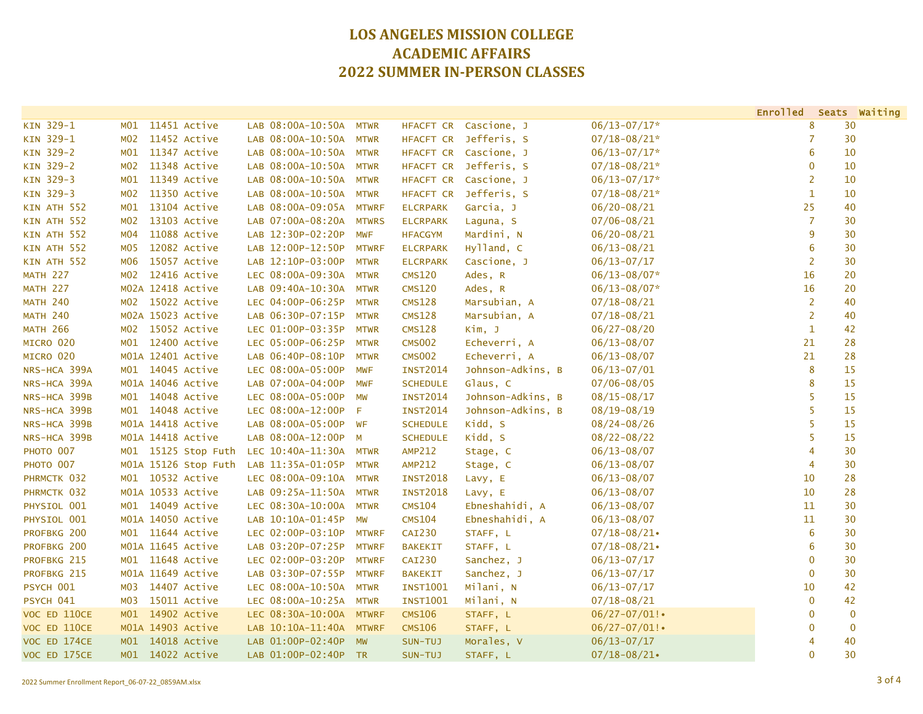|                  |                 |                      |                         |              |                 |                       |                   | <b>Enrolled</b> |                | Seats Waiting |
|------------------|-----------------|----------------------|-------------------------|--------------|-----------------|-----------------------|-------------------|-----------------|----------------|---------------|
| KIN 329-1        | MO1             | 11451 Active         | LAB 08:00A-10:50A       | <b>MTWR</b>  | HFACFT CR       | Cascione, J           | $06/13 - 07/17*$  |                 | 8              | 30            |
| KIN 329-1        | MO2             | 11452 Active         | LAB 08:00A-10:50A       | <b>MTWR</b>  |                 | HFACFT CR Jefferis, S | $07/18 - 08/21*$  | 7               |                | 30            |
| KIN 329-2        | MO1             | 11347 Active         | LAB 08:00A-10:50A       | <b>MTWR</b>  | HFACFT CR       | Cascione, J           | $06/13 - 07/17*$  |                 | 6              | 10            |
| KIN 329-2        | M02             | 11348 Active         | LAB 08:00A-10:50A       | <b>MTWR</b>  | HFACFT CR       | Jefferis, S           | $07/18 - 08/21*$  |                 | $\mathbf 0$    | 10            |
| KIN 329-3        | M <sub>01</sub> | 11349 Active         | LAB 08:00A-10:50A       | <b>MTWR</b>  | HFACFT CR       | Cascione, J           | $06/13 - 07/17*$  |                 | $\overline{2}$ | 10            |
| <b>KIN 329-3</b> | M02             | 11350 Active         | LAB 08:00A-10:50A       | <b>MTWR</b>  | HFACFT CR       | Jefferis, S           | $07/18 - 08/21*$  |                 | $\mathbf{1}$   | 10            |
| KIN ATH 552      | M01             | 13104 Active         | LAB 08:00A-09:05A       | <b>MTWRF</b> | <b>ELCRPARK</b> | Garcia, J             | $06/20 - 08/21$   | 25              |                | 40            |
| KIN ATH 552      | MO2             | 13103 Active         | LAB 07:00A-08:20A       | <b>MTWRS</b> | <b>ELCRPARK</b> | Laguna, S             | $07/06 - 08/21$   |                 | 7              | 30            |
| KIN ATH 552      | MO4             | 11088 Active         | LAB 12:30P-02:20P       | <b>MWF</b>   | <b>HFACGYM</b>  | Mardini, N            | $06/20 - 08/21$   |                 | 9              | 30            |
| KIN ATH 552      | MO5             | 12082 Active         | LAB 12:00P-12:50P       | <b>MTWRF</b> | <b>ELCRPARK</b> | Hylland, C            | $06/13 - 08/21$   |                 | 6              | 30            |
| KIN ATH 552      | м06             | 15057 Active         | LAB 12:10P-03:00P       | <b>MTWR</b>  | <b>ELCRPARK</b> | Cascione, J           | $06/13 - 07/17$   |                 | 2              | 30            |
| <b>MATH 227</b>  | M <sub>02</sub> | 12416 Active         | LEC 08:00A-09:30A       | <b>MTWR</b>  | <b>CMS120</b>   | Ades, R               | $06/13 - 08/07*$  | 16              |                | 20            |
| <b>MATH 227</b>  |                 | M02A 12418 Active    | LAB 09:40A-10:30A       | <b>MTWR</b>  | <b>CMS120</b>   | Ades, R               | $06/13 - 08/07*$  | 16              |                | 20            |
| <b>MATH 240</b>  | MO2             | 15022 Active         | LEC 04:00P-06:25P       | <b>MTWR</b>  | <b>CMS128</b>   | Marsubian, A          | $07/18 - 08/21$   |                 | $\overline{2}$ | 40            |
| <b>MATH 240</b>  |                 | M02A 15023 Active    | LAB 06:30P-07:15P       | <b>MTWR</b>  | <b>CMS128</b>   | Marsubian, A          | $07/18 - 08/21$   |                 | $\overline{2}$ | 40            |
| <b>MATH 266</b>  | MO2             | 15052 Active         | LEC 01:00P-03:35P       | <b>MTWR</b>  | <b>CMS128</b>   | Kim, J                | $06/27 - 08/20$   |                 | $\mathbf{1}$   | 42            |
| MICRO 020        | M01             | 12400 Active         | LEC 05:00P-06:25P       | <b>MTWR</b>  | <b>CMS002</b>   | Echeverri, A          | $06/13 - 08/07$   | 21              |                | 28            |
| MICRO 020        |                 | M01A 12401 Active    | LAB 06:40P-08:10P       | <b>MTWR</b>  | <b>CMS002</b>   | Echeverri, A          | $06/13 - 08/07$   | 21              |                | 28            |
| NRS-HCA 399A     | MO1             | 14045 Active         | LEC 08:00A-05:00P       | <b>MWF</b>   | <b>INST2014</b> | Johnson-Adkins, B     | $06/13 - 07/01$   |                 | 8              | 15            |
| NRS-HCA 399A     |                 | M01A 14046 Active    | LAB 07:00A-04:00P       | <b>MWF</b>   | <b>SCHEDULE</b> | Glaus, C              | $07/06 - 08/05$   |                 | 8              | 15            |
| NRS-HCA 399B     | MO1             | 14048 Active         | LEC 08:00A-05:00P       | MW           | <b>INST2014</b> | Johnson-Adkins, B     | $08/15 - 08/17$   |                 | 5              | 15            |
| NRS-HCA 399B     | MO1             | 14048 Active         | LEC 08:00A-12:00P       | F            | <b>INST2014</b> | Johnson-Adkins, B     | $08/19 - 08/19$   |                 | 5              | 15            |
| NRS-HCA 399B     |                 | M01A 14418 Active    | LAB 08:00A-05:00P       | WF           | <b>SCHEDULE</b> | Kidd, S               | $08/24 - 08/26$   |                 | 5              | 15            |
| NRS-HCA 399B     |                 | M01A 14418 Active    | LAB 08:00A-12:00P       | $M_{\odot}$  | <b>SCHEDULE</b> | Kidd, S               | $08/22 - 08/22$   |                 | 5              | 15            |
| <b>РНОТО 007</b> |                 | M01 15125 Stop Futh  | LEC 10:40A-11:30A MTWR  |              | <b>AMP212</b>   | Stage, C              | $06/13 - 08/07$   | $\overline{4}$  |                | 30            |
| <b>РНОТО 007</b> |                 | MO1A 15126 Stop Futh | LAB 11:35A-01:05P       | <b>MTWR</b>  | <b>AMP212</b>   | Stage, C              | $06/13 - 08/07$   |                 | 4              | 30            |
| PHRMCTK 032      |                 | M01 10532 Active     | LEC 08:00A-09:10A       | <b>MTWR</b>  | <b>INST2018</b> | Lavy, E               | $06/13 - 08/07$   | 10              |                | 28            |
| PHRMCTK 032      |                 | M01A 10533 Active    | LAB 09:25A-11:50A       | <b>MTWR</b>  | <b>INST2018</b> | Lavy, E               | $06/13 - 08/07$   | 10              |                | 28            |
| PHYSIOL 001      | MO1             | 14049 Active         | LEC 08:30A-10:00A       | <b>MTWR</b>  | <b>CMS104</b>   | Ebneshahidi, A        | $06/13 - 08/07$   | 11              |                | 30            |
| PHYSIOL 001      |                 | M01A 14050 Active    | LAB 10:10A-01:45P       | <b>MW</b>    | <b>CMS104</b>   | Ebneshahidi, A        | $06/13 - 08/07$   | 11              |                | 30            |
| PROFBKG 200      |                 | M01 11644 Active     | LEC 02:00P-03:10P       | <b>MTWRF</b> | CAI230          | STAFF, L              | $07/18 - 08/21$   | 6               |                | 30            |
| PROFBKG 200      |                 | M01A 11645 Active    | LAB 03:20P-07:25P       | <b>MTWRF</b> | <b>BAKEKIT</b>  | STAFF, L              | $07/18 - 08/21$   |                 | 6              | 30            |
| PROFBKG 215      |                 | M01 11648 Active     | LEC 02:00P-03:20P       | <b>MTWRF</b> | <b>CAI230</b>   | Sanchez, J            | $06/13 - 07/17$   |                 | $\mathbf{0}$   | 30            |
| PROFBKG 215      |                 | M01A 11649 Active    | LAB 03:30P-07:55P       | <b>MTWRF</b> | <b>BAKEKIT</b>  | Sanchez, J            | $06/13 - 07/17$   | $\mathbf{0}$    |                | 30            |
| PSYCH 001        | MO3             | 14407 Active         | LEC 08:00A-10:50A       | <b>MTWR</b>  | <b>INST1001</b> | Milani, N             | $06/13 - 07/17$   | 10              |                | 42            |
| PSYCH 041        | MO3             | 15011 Active         | LEC 08:00A-10:25A MTWR  |              | <b>INST1001</b> | Milani, N             | $07/18 - 08/21$   | $\mathbf{0}$    |                | 42            |
| VOC ED 110CE     |                 | M01 14902 Active     | LEC 08:30A-10:00A MTWRF |              | <b>CMS106</b>   | STAFF, L              | $06/27 - 07/01$ ! |                 | $\mathbf{0}$   | $\mathbf 0$   |
| VOC ED 110CE     |                 | M01A 14903 Active    | LAB 10:10A-11:40A       | <b>MTWRF</b> | <b>CMS106</b>   | STAFF, L              | $06/27 - 07/01$ ! |                 | $\mathbf 0$    | $\mathbf 0$   |
| VOC ED 174CE     | M01             | 14018 Active         | LAB 01:00P-02:40P       | <b>MW</b>    | SUN-TUJ         | Morales, V            | $06/13 - 07/17$   | $\overline{4}$  |                | 40            |
| VOC ED 175CE     |                 | M01 14022 Active     | LAB 01:00P-02:40P TR    |              | SUN-TUJ         | STAFF, L              | $07/18 - 08/21$   |                 | $\mathbf{0}$   | 30            |